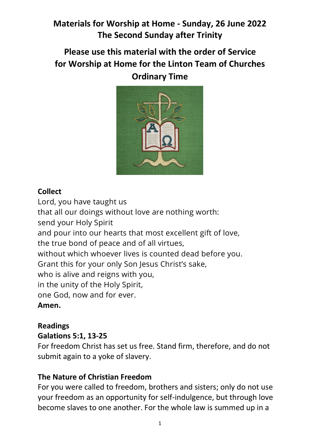**Please use this material with the order of Service for Worship at Home for the Linton Team of Churches Ordinary Time** 



### **Collect**

Lord, you have taught us that all our doings without love are nothing worth: send your Holy Spirit and pour into our hearts that most excellent gift of love, the true bond of peace and of all virtues, without which whoever lives is counted dead before you. Grant this for your only Son Jesus Christ's sake, who is alive and reigns with you, in the unity of the Holy Spirit, one God, now and for ever. **Amen.**

# **Readings**

#### **Galations 5:1, 13-25**

For freedom Christ has set us free. Stand firm, therefore, and do not submit again to a yoke of slavery.

#### **The Nature of Christian Freedom**

For you were called to freedom, brothers and sisters; only do not use your freedom as an opportunity for self-indulgence, but through love become slaves to one another. For the whole law is summed up in a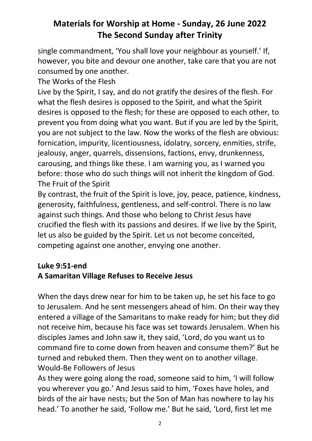single commandment, 'You shall love your neighbour as yourself.' If, however, you bite and devour one another, take care that you are not consumed by one another.

The Works of the Flesh

Live by the Spirit, I say, and do not gratify the desires of the flesh. For what the flesh desires is opposed to the Spirit, and what the Spirit desires is opposed to the flesh; for these are opposed to each other, to prevent you from doing what you want. But if you are led by the Spirit, you are not subject to the law. Now the works of the flesh are obvious: fornication, impurity, licentiousness, idolatry, sorcery, enmities, strife, jealousy, anger, quarrels, dissensions, factions, envy, drunkenness, carousing, and things like these. I am warning you, as I warned you before: those who do such things will not inherit the kingdom of God. The Fruit of the Spirit

By contrast, the fruit of the Spirit is love, joy, peace, patience, kindness, generosity, faithfulness, gentleness, and self-control. There is no law against such things. And those who belong to Christ Jesus have crucified the flesh with its passions and desires. If we live by the Spirit, let us also be guided by the Spirit. Let us not become conceited, competing against one another, envying one another.

## **Luke 9:51-end A Samaritan Village Refuses to Receive Jesus**

When the days drew near for him to be taken up, he set his face to go to Jerusalem. And he sent messengers ahead of him. On their way they entered a village of the Samaritans to make ready for him; but they did not receive him, because his face was set towards Jerusalem. When his disciples James and John saw it, they said, 'Lord, do you want us to command fire to come down from heaven and consume them?' But he turned and rebuked them. Then they went on to another village. Would-Be Followers of Jesus

As they were going along the road, someone said to him, 'I will follow you wherever you go.' And Jesus said to him, 'Foxes have holes, and birds of the air have nests; but the Son of Man has nowhere to lay his head.' To another he said, 'Follow me.' But he said, 'Lord, first let me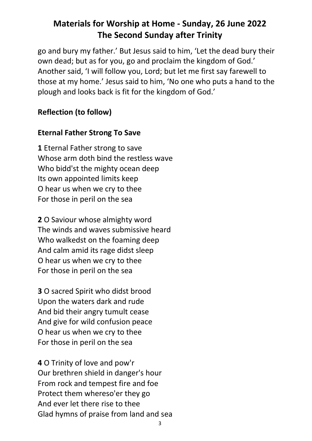go and bury my father.' But Jesus said to him, 'Let the dead bury their own dead; but as for you, go and proclaim the kingdom of God.' Another said, 'I will follow you, Lord; but let me first say farewell to those at my home.' Jesus said to him, 'No one who puts a hand to the plough and looks back is fit for the kingdom of God.'

### **Reflection (to follow)**

### **Eternal Father Strong To Save**

**1** Eternal Father strong to save Whose arm doth bind the restless wave Who bidd'st the mighty ocean deep Its own appointed limits keep O hear us when we cry to thee For those in peril on the sea

**2** O Saviour whose almighty word The winds and waves submissive heard Who walkedst on the foaming deep And calm amid its rage didst sleep O hear us when we cry to thee For those in peril on the sea

**3** O sacred Spirit who didst brood Upon the waters dark and rude And bid their angry tumult cease And give for wild confusion peace O hear us when we cry to thee For those in peril on the sea

**4** O Trinity of love and pow'r Our brethren shield in danger's hour From rock and tempest fire and foe Protect them whereso'er they go And ever let there rise to thee Glad hymns of praise from land and sea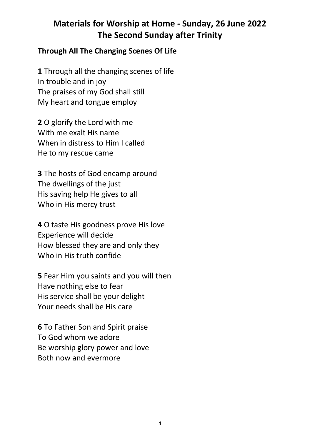### **Through All The Changing Scenes Of Life**

**1** Through all the changing scenes of life In trouble and in joy The praises of my God shall still My heart and tongue employ

**2** O glorify the Lord with me With me exalt His name When in distress to Him I called He to my rescue came

**3** The hosts of God encamp around The dwellings of the just His saving help He gives to all Who in His mercy trust

**4** O taste His goodness prove His love Experience will decide How blessed they are and only they Who in His truth confide

**5** Fear Him you saints and you will then Have nothing else to fear His service shall be your delight Your needs shall be His care

**6** To Father Son and Spirit praise To God whom we adore Be worship glory power and love Both now and evermore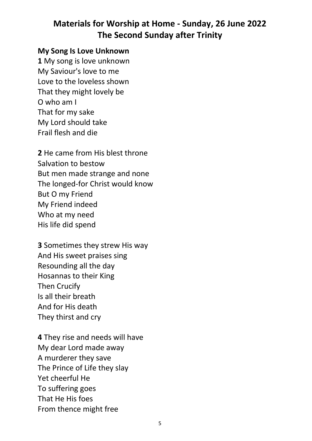#### **My Song Is Love Unknown**

**1** My song is love unknown My Saviour's love to me Love to the loveless shown That they might lovely be O who am I That for my sake My Lord should take Frail flesh and die

**2** He came from His blest throne Salvation to bestow But men made strange and none The longed-for Christ would know But O my Friend My Friend indeed Who at my need His life did spend

**3** Sometimes they strew His way And His sweet praises sing Resounding all the day Hosannas to their King Then Crucify Is all their breath And for His death They thirst and cry

**4** They rise and needs will have My dear Lord made away A murderer they save The Prince of Life they slay Yet cheerful He To suffering goes That He His foes From thence might free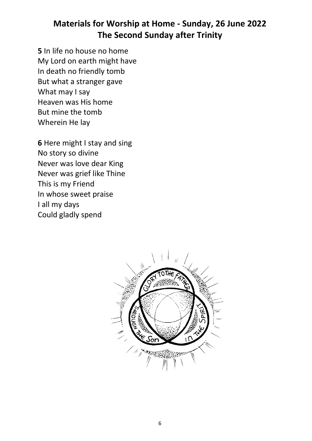**5** In life no house no home My Lord on earth might have In death no friendly tomb But what a stranger gave What may I say Heaven was His home But mine the tomb Wherein He lay

**6** Here might I stay and sing No story so divine Never was love dear King Never was grief like Thine This is my Friend In whose sweet praise I all my days Could gladly spend

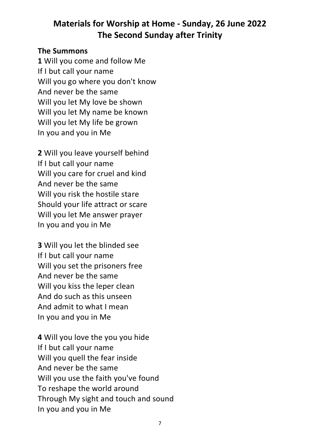#### **The Summons**

**1** Will you come and follow Me If I but call your name Will you go where you don't know And never be the same Will you let My love be shown Will you let My name be known Will you let My life be grown In you and you in Me

**2** Will you leave yourself behind If I but call your name Will you care for cruel and kind And never be the same Will you risk the hostile stare Should your life attract or scare Will you let Me answer prayer In you and you in Me

**3** Will you let the blinded see If I but call your name Will you set the prisoners free And never be the same Will you kiss the leper clean And do such as this unseen And admit to what I mean In you and you in Me

**4** Will you love the you you hide If I but call your name Will you quell the fear inside And never be the same Will you use the faith you've found To reshape the world around Through My sight and touch and sound In you and you in Me